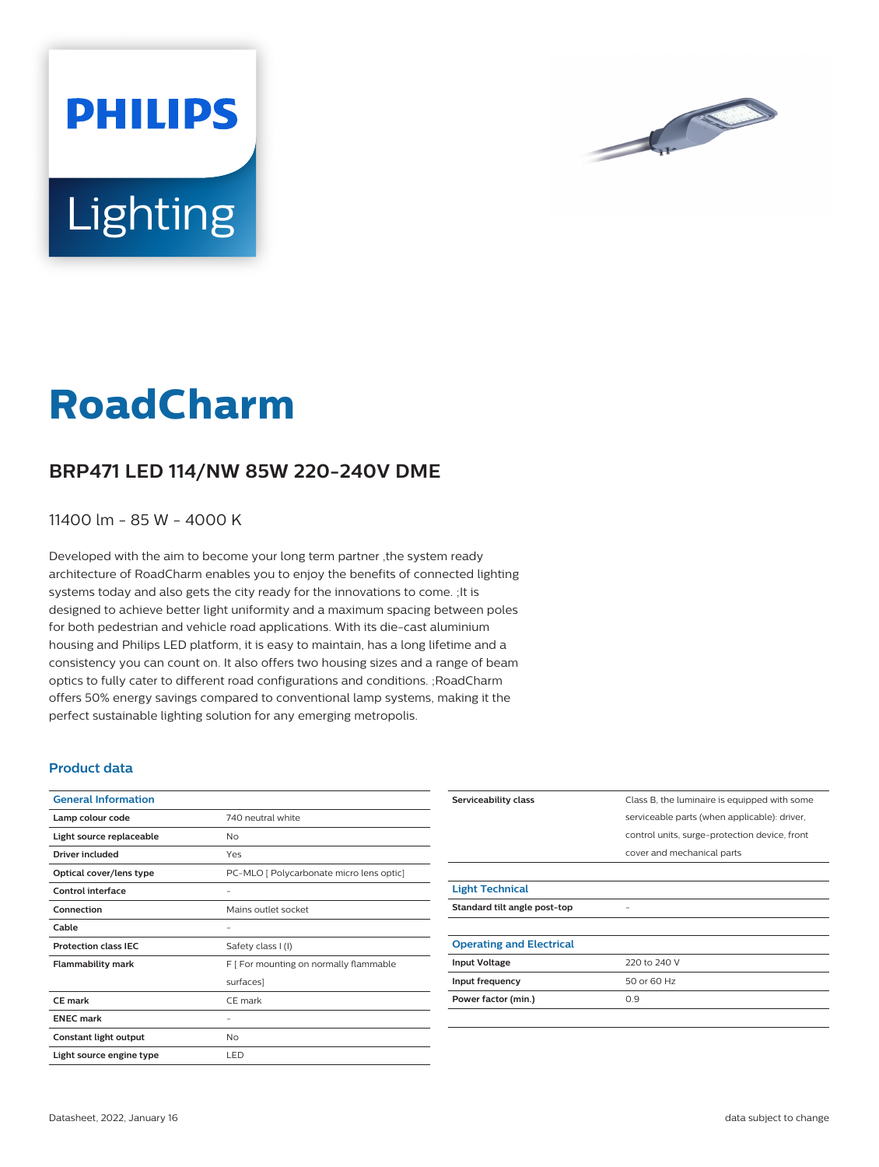



# **Lighting**

# **RoadCharm**

## **BRP471 LED 114/NW 85W 220-240V DME**

11400 lm - 85 W - 4000 K

Developed with the aim to become your long term partner ,the system ready architecture of RoadCharm enables you to enjoy the benefits of connected lighting systems today and also gets the city ready for the innovations to come. ;It is designed to achieve better light uniformity and a maximum spacing between poles for both pedestrian and vehicle road applications. With its die-cast aluminium housing and Philips LED platform, it is easy to maintain, has a long lifetime and a consistency you can count on. It also offers two housing sizes and a range of beam optics to fully cater to different road configurations and conditions. ;RoadCharm offers 50% energy savings compared to conventional lamp systems, making it the perfect sustainable lighting solution for any emerging metropolis.

#### **Product data**

| <b>General Information</b>  |                                          |
|-----------------------------|------------------------------------------|
| Lamp colour code            | 740 neutral white                        |
| Light source replaceable    | No                                       |
| Driver included             | Yes                                      |
| Optical cover/lens type     | PC-MLO [ Polycarbonate micro lens optic] |
| Control interface           |                                          |
| Connection                  | Mains outlet socket                      |
| Cable                       |                                          |
| <b>Protection class IEC</b> | Safety class I (I)                       |
| <b>Flammability mark</b>    | F [ For mounting on normally flammable   |
|                             | surfaces]                                |
| CE mark                     | CE mark                                  |
| <b>ENEC mark</b>            |                                          |
| Constant light output       | No                                       |
| Light source engine type    | LED                                      |

| Serviceability class            | Class B, the luminaire is equipped with some  |
|---------------------------------|-----------------------------------------------|
|                                 | serviceable parts (when applicable): driver,  |
|                                 | control units, surge-protection device, front |
|                                 | cover and mechanical parts                    |
|                                 |                                               |
| <b>Light Technical</b>          |                                               |
| Standard tilt angle post-top    |                                               |
|                                 |                                               |
| <b>Operating and Electrical</b> |                                               |
| <b>Input Voltage</b>            | 220 to 240 V                                  |
| Input frequency                 | 50 or 60 Hz                                   |
| Power factor (min.)             | 0.9                                           |
|                                 |                                               |